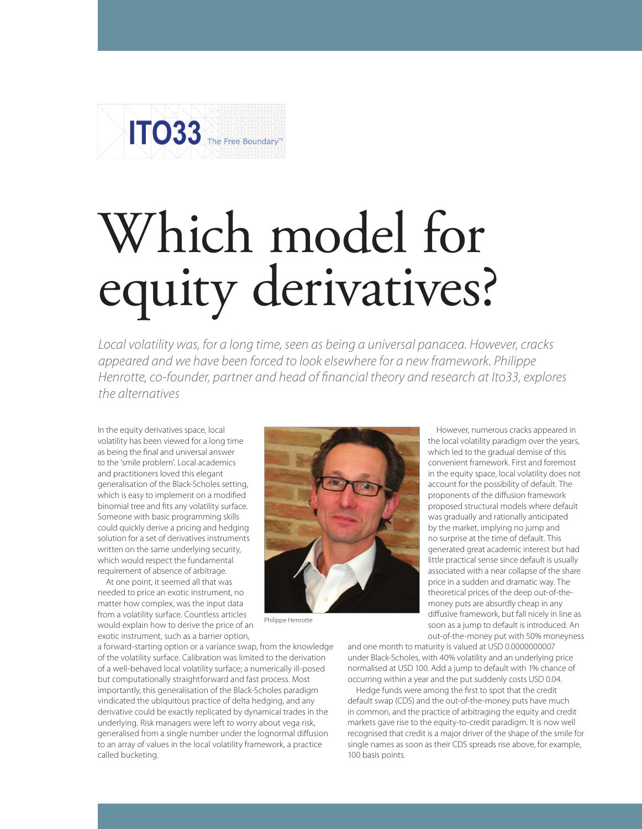

## Which model for equity derivatives?

*Local volatility was, for a long time, seen as being a universal panacea. However, cracks appeared and we have been forced to look elsewhere for a new framework. Philippe Henrotte, co-founder, partner and head of financial theory and research at Ito33, explores the alternatives* 

In the equity derivatives space, local volatility has been viewed for a long time as being the final and universal answer to the 'smile problem'. Local academics and practitioners loved this elegant generalisation of the Black-Scholes setting, which is easy to implement on a modified binomial tree and fits any volatility surface. Someone with basic programming skills could quickly derive a pricing and hedging solution for a set of derivatives instruments written on the same underlying security, which would respect the fundamental requirement of absence of arbitrage.

At one point, it seemed all that was needed to price an exotic instrument, no matter how complex, was the input data from a volatility surface. Countless articles would explain how to derive the price of an exotic instrument, such as a barrier option,

a forward-starting option or a variance swap, from the knowledge of the volatility surface. Calibration was limited to the derivation of a well-behaved local volatility surface; a numerically ill-posed but computationally straightforward and fast process. Most importantly, this generalisation of the Black-Scholes paradigm vindicated the ubiquitous practice of delta hedging, and any derivative could be exactly replicated by dynamical trades in the underlying. Risk managers were left to worry about vega risk, generalised from a single number under the lognormal diffusion to an array of values in the local volatility framework, a practice called bucketing.



Philippe Henrotte

the local volatility paradigm over the years, which led to the gradual demise of this convenient framework. First and foremost in the equity space, local volatility does not account for the possibility of default. The proponents of the diffusion framework proposed structural models where default was gradually and rationally anticipated by the market, implying no jump and no surprise at the time of default. This generated great academic interest but had little practical sense since default is usually associated with a near collapse of the share price in a sudden and dramatic way. The theoretical prices of the deep out-of-themoney puts are absurdly cheap in any diffusive framework, but fall nicely in line as soon as a jump to default is introduced. An out-of-the-money put with 50% moneyness

However, numerous cracks appeared in

and one month to maturity is valued at USD 0.0000000007 under Black-Scholes, with 40% volatility and an underlying price normalised at USD 100. Add a jump to default with 1% chance of occurring within a year and the put suddenly costs USD 0.04.

Hedge funds were among the first to spot that the credit default swap (CDS) and the out-of-the-money puts have much in common, and the practice of arbitraging the equity and credit markets gave rise to the equity-to-credit paradigm. It is now well recognised that credit is a major driver of the shape of the smile for single names as soon as their CDS spreads rise above, for example, 100 basis points.